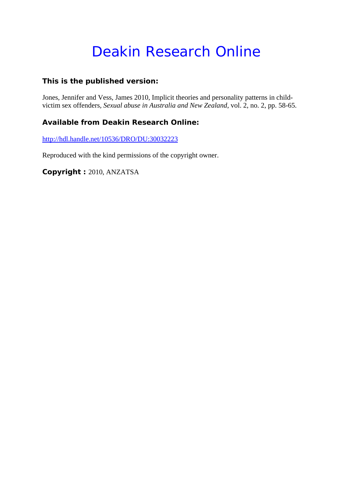# Deakin Research Online

# **This is the published version:**

Jones, Jennifer and Vess, James 2010, Implicit theories and personality patterns in childvictim sex offenders*, Sexual abuse in Australia and New Zealand*, vol. 2, no. 2, pp. 58-65.

# **Available from Deakin Research Online:**

http://hdl.handle.net/10536/DRO/DU:30032223

Reproduced with the kind permissions of the copyright owner.

**Copyright :** 2010, ANZATSA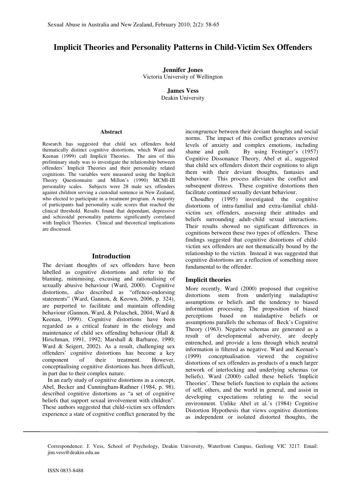## **Implicit Theories and Personality Patterns in Child-Victim Sex Offenders**

**Jennifer Jones**  Victoria University of Wellington

> **James Vess**  Deakin University

#### **Abstract**

Research has suggested that child sex offenders hold thematically distinct cognitive distortions, which Ward and Keenan (1999) call Implicit Theories. The aim of this preliminary study was to investigate the relationship between offenders' Implicit Theories and their personality related cognitions. The variables were measured using the Implicit Theory Questionnaire and Millon's (1990) MCMI-III personality scales. Subjects were 28 male sex offenders against children serving a custodial sentence in New Zealand, who elected to participate in a treatment program. A majority of participants had personality scale scores that reached the clinical threshold. Results found that dependant, depressive and schizoidal personality patterns significantly correlated with Implicit Theories. Clinical and theoretical implications are discussed.

#### **Introduction**

The deviant thoughts of sex offenders have been labelled as cognitive distortions and refer to the blaming, minimising, excusing and rationalising of sexually abusive behaviour (Ward, 2000). Cognitive distortions, also described as "offence-endorsing statements" (Ward, Gannon, & Keown, 2006, p. 324), are purported to facilitate and maintain offending behaviour (Gannon, Ward, & Polaschek, 2004; Ward & Keenan, 1999). Cognitive distortions have been regarded as a critical feature in the etiology and maintenance of child sex offending behaviour (Hall & Hirschman, 1991, 1992; Marshall & Barbaree, 1990; Ward & Seigert, 2002). As a result, challenging sex offenders' cognitive distortions has become a key component of their treatment. However, conceptualising cognitive distortions has been difficult, in part due to their complex nature.

In an early study of cognitive distortions as a concept, Abel, Becker and Cunningham-Rathner (1984, p. 98), described cognitive distortions as "a set of cognitive beliefs that support sexual involvement with children". These authors suggested that child-victim sex offenders experience a state of cognitive conflict generated by the incongruence between their deviant thoughts and social norms. The impact of this conflict generates aversive levels of anxiety and complex emotions, including shame and guilt. By using Festinger's (1957) Cognitive Dissonance Theory, Abel et al., suggested that child sex offenders distort their cognitions to align them with their deviant thoughts, fantasies and behaviour. This process alleviates the conflict and subsequent distress. These cognitive distortions then facilitate continued sexually deviant behaviour.

Choudhry (1995) investigated the cognitive distortions of intra-familial and extra-familial childvictim sex offenders, assessing their attitudes and beliefs surrounding adult-child sexual interactions. Their results showed no significant differences in cognitions between these two types of offenders. These findings suggested that cognitive distortions of childvictim sex offenders are not thematically bound by the relationship to the victim. Instead it was suggested that cognitive distortions are a reflection of something more fundamental to the offender.

#### **Implicit theories**

More recently, Ward (2000) proposed that cognitive distortions stem from underlying maladaptive assumptions or beliefs and the tendency to biased information processing. The proposition of biased perceptions based on maladaptive beliefs or assumptions parallels the schemas of Beck's Cognitive Theory (1963). Negative schemas are generated as a result of developmental adversity, are deeply entrenched, and provide a lens through which neutral information is filtered as negative. Ward and Keenan's (1999) conceptualisation viewed the cognitive distortions of sex offenders as products of a much larger network of interlocking and underlying schemas (or beliefs). Ward (2000) called these beliefs 'Implicit Theories'. These beliefs function to explain the actions of self, others, and the world in general, and assist in developing expectations relating to the social environment. Unlike Abel et al.'s (1984) Cognitive Distortion Hypothesis that views cognitive distortions as independent or isolated distorted thoughts, the

Correspondence: J. Vess, School of Psychology, Deakin University, Waterfront Campus, Geelong VIC 3217. Email: jim.vess@deakin.edu.au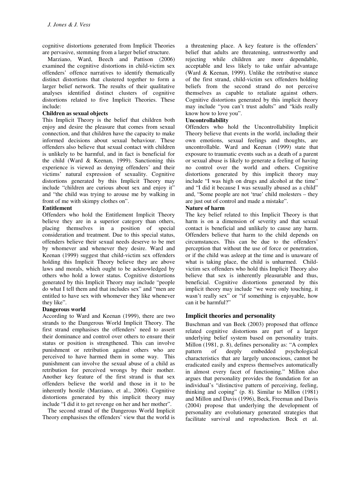cognitive distortions generated from Implicit Theories are pervasive, stemming from a larger belief structure.

Marziano, Ward, Beech and Pattison (2006) examined the cognitive distortions in child-victim sex offenders' offence narratives to identify thematically distinct distortions that clustered together to form a larger belief network. The results of their qualitative analyses identified distinct clusters of cognitive distortions related to five Implicit Theories. These include:

#### **Children as sexual objects**

This Implicit Theory is the belief that children both enjoy and desire the pleasure that comes from sexual connection, and that children have the capacity to make informed decisions about sexual behaviour. These offenders also believe that sexual contact with children is unlikely to be harmful, and in fact is beneficial for the child (Ward & Keenan, 1999). Sanctioning this experience is viewed as denying offenders' and their victims' natural expression of sexuality. Cognitive distortions generated by this Implicit Theory may include "children are curious about sex and enjoy it" and "the child was trying to arouse me by walking in front of me with skimpy clothes on".

#### **Entitlement**

Offenders who hold the Entitlement Implicit Theory believe they are in a superior category than others, placing themselves in a position of special consideration and treatment. Due to this special status, offenders believe their sexual needs deserve to be met by whomever and whenever they desire. Ward and Keenan (1999) suggest that child-victim sex offenders holding this Implicit Theory believe they are above laws and morals, which ought to be acknowledged by others who hold a lower status. Cognitive distortions generated by this Implicit Theory may include "people do what I tell them and that includes sex" and "men are entitled to have sex with whomever they like whenever they like".

#### **Dangerous world**

According to Ward and Keenan (1999), there are two strands to the Dangerous World Implicit Theory. The first strand emphasises the offenders' need to assert their dominance and control over others to ensure their status or position is strengthened. This can involve punishment or retribution against others who are perceived to have harmed them in some way. This punishment can involve the sexual abuse of a child as retribution for perceived wrongs by their mother. Another key feature of the first strand is that sex offenders believe the world and those in it to be inherently hostile (Marziano, et al., 2006). Cognitive distortions generated by this implicit theory may include "I did it to get revenge on her and her mother".

The second strand of the Dangerous World Implicit Theory emphasises the offenders' view that the world is

a threatening place. A key feature is the offenders' belief that adults are threatening, untrustworthy and rejecting while children are more dependable, acceptable and less likely to take unfair advantage (Ward & Keenan, 1999). Unlike the retributive stance of the first strand, child-victim sex offenders holding beliefs from the second strand do not perceive themselves as capable to retaliate against others. Cognitive distortions generated by this implicit theory may include "you can't trust adults" and "kids really know how to love you".

#### **Uncontrollability**

Offenders who hold the Uncontrollability Implicit Theory believe that events in the world, including their own emotions, sexual feelings and thoughts, are uncontrollable. Ward and Keenan (1999) state that exposure to traumatic events such as a death of a parent or sexual abuse is likely to generate a feeling of having no control over the world and others. Cognitive distortions generated by this implicit theory may include "I was high on drugs and alcohol at the time" and "I did it because I was sexually abused as a child" and, "Some people are not 'true' child molesters – they are just out of control and made a mistake".

#### **Nature of harm**

The key belief related to this Implicit Theory is that harm is on a dimension of severity and that sexual contact is beneficial and unlikely to cause any harm. Offenders believe that harm to the child depends on circumstances. This can be due to the offenders' perception that without the use of force or penetration, or if the child was asleep at the time and is unaware of what is taking place, the child is unharmed. Childvictim sex offenders who hold this Implicit Theory also believe that sex is inherently pleasurable and thus, beneficial. Cognitive distortions generated by this implicit theory may include "we were only touching, it wasn't really sex" or "if something is enjoyable, how can it be harmful?"

## **Implicit theories and personality**

Buschman and van Beek (2003) proposed that offence related cognitive distortions are part of a larger underlying belief system based on personality traits. Millon (1981, p. 8), defines personality as: "A complex pattern of deeply embedded psychological characteristics that are largely unconscious, cannot be eradicated easily and express themselves automatically in almost every facet of functioning." Millon also argues that personality provides the foundation for an individual's "distinctive pattern of perceiving, feeling, thinking and coping" (p. 8)*.* Similar to Millon (1981) and Millon and Davis (1996), Beck, Freeman and Davis (2004) propose that underlying the development of personality are evolutionary generated strategies that facilitate survival and reproduction. Beck et al.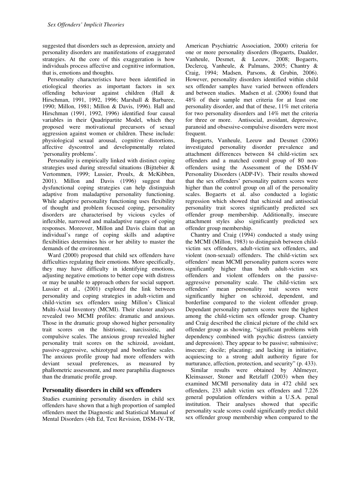suggested that disorders such as depression, anxiety and personality disorders are manifestations of exaggerated strategies. At the core of this exaggeration is how individuals process affective and cognitive information, that is, emotions and thoughts.

Personality characteristics have been identified in etiological theories as important factors in sex offending behaviour against children (Hall & Hirschman, 1991, 1992, 1996; Marshall & Barbaree, 1990; Millon, 1981; Millon & Davis, 1996). Hall and Hirschman (1991, 1992, 1996) identified four causal variables in their Quadripartite Model, which they proposed were motivational precursors of sexual aggression against women or children. These include: physiological sexual arousal, cognitive distortions, affective dyscontrol and developmentally related 'personality problems'.

Personality is empirically linked with distinct coping strategies used during stressful situations (Bijttebier & Vertommen, 1999; Lussier, Proulx, & McKibben, 2001). Millon and Davis (1996) suggest that dysfunctional coping strategies can help distinguish adaptive from maladaptive personality functioning. While adaptive personality functioning uses flexibility of thought and problem focused coping, personality disorders are characterised by vicious cycles of inflexible, narrowed and maladaptive ranges of coping responses. Moreover, Millon and Davis claim that an individual's range of coping skills and adaptive flexibilities determines his or her ability to master the demands of the environment.

Ward (2000) proposed that child sex offenders have difficulties regulating their emotions. More specifically, they may have difficulty in identifying emotions, adjusting negative emotions to better cope with distress or may be unable to approach others for social support. Lussier et al., (2001) explored the link between personality and coping strategies in adult-victim and child-victim sex offenders using Millon's Clinical Multi-Axial Inventory (MCMI). Their cluster analyses revealed two MCMI profiles: dramatic and anxious. Those in the dramatic group showed higher personality trait scores on the histrionic, narcissistic, and compulsive scales. The anxious group revealed higher personality trait scores on the schizoid, avoidant, passive-aggressive, schizotypal and borderline scales. The anxious profile group had more offenders with deviant sexual preferences, as measured by phallometric assessment, and more paraphilia diagnoses than the dramatic profile group.

#### **Personality disorders in child sex offenders**

Studies examining personality disorders in child sex offenders have shown that a high proportion of sampled offenders meet the Diagnostic and Statistical Manual of Mental Disorders (4th Ed, Text Revision, DSM-IV-TR, American Psychiatric Association, 2000) criteria for one or more personality disorders (Bogaerts, Daalder, Vanheule, Desmet, & Leeuw, 2008; Bogaerts, Declercq, Vanheule, & Palmans, 2005; Chantry & Craig, 1994; Madsen, Parsons, & Grubin, 2006). However, personality disorders identified within child sex offender samples have varied between offenders and between studies. Madsen et al. (2006) found that 48% of their sample met criteria for at least one personality disorder, and that of these, 11% met criteria for two personality disorders and 14% met the criteria for three or more. Antisocial, avoidant, depressive, paranoid and obsessive-compulsive disorders were most frequent.

Bogaerts, Vanheule, Leeuw and Desmet (2006) investigated personality disorder prevalence and attachment differences between 84 child-victim sex offenders and a matched control group of 80 nonoffenders using the Assessment of the DSM-IV Personality Disorders (ADP-IV). Their results showed that the sex offenders' personality pattern scores were higher than the control group on all of the personality scales. Bogaerts et al. also conducted a logistic regression which showed that schizoid and antisocial personality trait scores significantly predicted sex offender group membership. Additionally, insecure attachment styles also significantly predicted sex offender group membership.

Chantry and Craig (1994) conducted a study using the MCMI (Millon, 1983) to distinguish between childvictim sex offenders, adult-victim sex offenders, and violent (non-sexual) offenders. The child-victim sex offenders' mean MCMI personality pattern scores were significantly higher than both adult-victim sex offenders and violent offenders on the passiveaggressive personality scale. The child-victim sex offenders' mean personality trait scores were significantly higher on schizoid, dependent, and borderline compared to the violent offender group. Dependant personality pattern scores were the highest among the child-victim sex offender group. Chantry and Craig described the clinical picture of the child sex offender group as showing, "significant problems with dependency combined with psychic distress (anxiety and depression). They appear to be passive; submissive; insecure; docile; placating; and lacking in initiative, acquiescing to a strong adult authority figure for nurturance, affection, protection, and security" (p. 433).

Similar results were obtained by Ahlmeyer, Kleinsasser, Stoner and Retzlaff (2003) when they examined MCMI personality data in 472 child sex offenders, 233 adult victim sex offenders and 7,226 general population offenders within a U.S.A. penal institution. Their analyses showed that specific personality scale scores could significantly predict child sex offender group membership when compared to the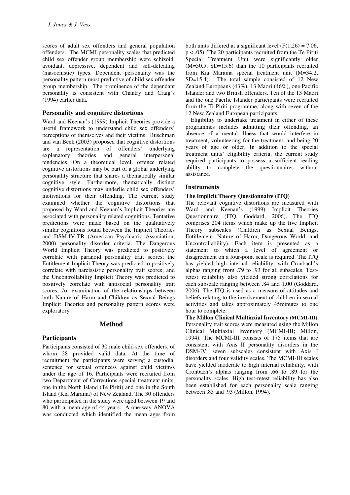scores of adult sex offenders and general population offenders. The MCMI personality scales that predicted child sex offender group membership were schizoid, avoidant, depressive, dependent and self-defeating (masochistic) types. Dependent personality was the personality pattern most predictive of child sex offender group membership. The prominence of the dependant personality is consistent with Chantry and Craig's (1994) earlier data.

#### **Personality and cognitive distortions**

Ward and Keenan's (1999) Implicit Theories provide a useful framework to understand child sex offenders' perceptions of themselves and their victims. Buschman and van Beek (2003) proposed that cognitive distortions are a representation of offenders' underlying<br>explanatory theories and general interpersonal explanatory theories and tendencies. On a theoretical level, offence related cognitive distortions may be part of a global underlying personality structure that shares a thematically similar cognitive style. Furthermore, thematically distinct cognitive distortions may underlie child sex offenders' motivations for their offending. The current study examined whether the cognitive distortions that proposed by Ward and Keenan's Implicit Theories are associated with personality related cognitions. Tentative predictions were made based on the qualitatively similar cognitions found between the Implicit Theories and DSM-IV-TR (American Psychiatric Association, 2000) personality disorder criteria. The Dangerous World Implicit Theory was predicted to positively correlate with paranoid personality trait scores; the Entitlement Implicit Theory was predicted to positively correlate with narcissistic personality trait scores; and the Uncontrollability Implicit Theory was predicted to positively correlate with antisocial personality trait scores. An examination of the relationships between both Nature of Harm and Children as Sexual Beings Implicit Theories and personality pattern scores were exploratory.

## **Method**

## **Participants**

Participants consisted of 30 male child sex offenders, of whom 28 provided valid data. At the time of recruitment the participants were serving a custodial sentence for sexual offence/s against child victim/s under the age of 16. Participants were recruited from two Department of Corrections special treatment units, one in the North Island (Te Piriti) and one in the South Island (Kia Marama) of New Zealand. The 30 offenders who participated in the study were aged between 19 and 80 with a mean age of 44 years. A one-way ANOVA was conducted which identified the mean ages from

both units differed at a significant level  $(F(1,26) = 7.06,$ p < .05). The 20 participants recruited from the Te Piriti Special Treatment Unit were significantly older (M=50.5, SD=15.6) than the 10 participants recruited from Kia Marama special treatment unit (M=34.2, SD=15.4). The total sample consisted of 12 New Zealand Europeans (43%), 13 Maori (46%), one Pacific Islander and two British offenders. Ten of the 13 Maori and the one Pacific Islander participants were recruited from the Ti Piriti programme, along with seven of the 12 New Zealand European participants.

Eligibility to undertake treatment in either of these programmes includes admitting their offending, an absence of a mental illness that would interfere in treatment, volunteering for the treatment, and being 20 years of age or older. In addition to the special treatment units' eligibility criteria, the current study required participants to possess a sufficient reading ability to complete the questionnaires without assistance.

#### **Instruments**

#### **The Implicit Theory Questionnaire (ITQ)**

The relevant cognitive distortions are measured with Ward and Keenan's (1999) Implicit Theories Questionnaire (ITQ, Goddard, 2006). The ITQ comprises 204 items which make up the five Implicit Theory subscales (Children as Sexual Beings, Entitlement, Nature of Harm, Dangerous World, and Uncontrollability). Each item is presented as a statement to which a level of agreement or disagreement on a four-point scale is required. The ITQ has yielded high internal reliability, with Cronbach's alphas ranging from .79 to .93 for all subscales. Testretest reliability also yielded strong correlations for each subscale ranging between .84 and 1.00 (Goddard, 2006). The ITQ is used as a measure of attitudes and beliefs relating to the involvement of children in sexual activities and takes approximately 45minutes to one hour to complete.

**The Millon Clinical Multiaxial Inventory (MCMI-III)** Personality trait scores were measured using the Millon Clinical Multiaxial Inventory (MCMI-III; Millon, 1994). The MCMI-III consists of 175 items that are consistent with Axis II personality disorders in the DSM-IV, seven subscales consistent with Axis I disorders and four validity scales. The MCMI-III scales have yielded moderate to high internal reliability, with Cronbach's alphas ranging from .66 to .89 for the personality scales. High test-retest reliability has also been established for each personality scale ranging between .85 and .93 (Millon, 1994).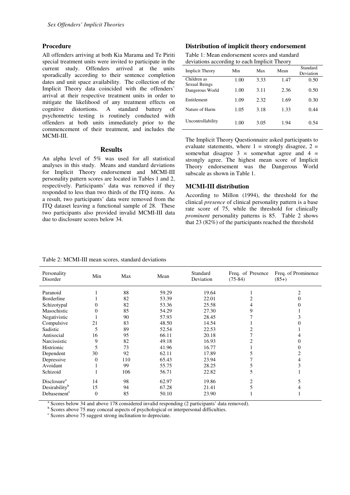#### **Procedure**

All offenders arriving at both Kia Marama and Te Piriti special treatment units were invited to participate in the current study. Offenders arrived at the units sporadically according to their sentence completion dates and unit space availability. The collection of the Implicit Theory data coincided with the offenders' arrival at their respective treatment units in order to mitigate the likelihood of any treatment effects on cognitive distortions. A standard battery of psychometric testing is routinely conducted with offenders at both units immediately prior to the commencement of their treatment, and includes the MCMI-III.

#### **Results**

An alpha level of 5% was used for all statistical analyses in this study. Means and standard deviations for Implicit Theory endorsement and MCMI-III personality pattern scores are located in Tables 1 and 2, respectively. Participants' data was removed if they responded to less than two thirds of the ITQ items. As a result, two participants' data were removed from the ITQ dataset leaving a functional sample of 28. These two participants also provided invalid MCMI-III data due to disclosure scores below 34.

#### **Distribution of implicit theory endorsement**

| Table 1: Mean endorsement scores and standard |
|-----------------------------------------------|
| deviations according to each Implicit Theory  |

| <b>Implicit Theory</b>       | Min  | Max  | Mean | Standard<br>Deviation |
|------------------------------|------|------|------|-----------------------|
| Children as<br>Sexual Beings | 1.00 | 3.33 | 1.47 | 0.50                  |
| Dangerous World              | 1.00 | 3.11 | 2.36 | 0.50                  |
| Entitlement                  | 1.09 | 2.32 | 1.69 | 0.30                  |
| Nature of Harm               | 1.05 | 3.18 | 1.33 | 0.44                  |
| Uncontrollability            | 1.00 | 3.05 | 1.94 | 0.54                  |

The Implicit Theory Questionnaire asked participants to evaluate statements, where  $1 =$  strongly disagree,  $2 =$ somewhat disagree  $3 =$  somewhat agree and  $4 =$ strongly agree. The highest mean score of Implicit Theory endorsement was the Dangerous World subscale as shown in Table 1.

#### **MCMI-III distribution**

According to Millon (1994), the threshold for the clinical *presence* of clinical personality pattern is a base rate score of 75, while the threshold for clinically *prominent* personality patterns is 85. Table 2 shows that 23 (82%) of the participants reached the threshold

| Personality<br>Disorder   | Min            | Max | Mean  | Standard<br>Deviation | Freq. of Presence<br>$(75-84)$ | Freq. of Prominence<br>$(85+)$ |
|---------------------------|----------------|-----|-------|-----------------------|--------------------------------|--------------------------------|
| Paranoid                  |                | 88  | 59.29 | 19.64                 |                                |                                |
| Borderline                |                | 82  | 53.39 | 22.01                 | 2                              |                                |
| Schizotypal               | 0              | 82  | 53.36 | 25.58                 | 4                              |                                |
| Masochistic               | 0              | 85  | 54.29 | 27.30                 | 9                              |                                |
| Negativistic              |                | 90  | 57.93 | 28.45                 |                                |                                |
| Compulsive                | 21             | 83  | 48.50 | 14.54                 |                                |                                |
| Sadistic                  | 5              | 89  | 52.54 | 22.53                 |                                |                                |
| Antisocial                | 16             | 95  | 66.11 | 20.18                 |                                |                                |
| Narcissistic              | 9              | 82  | 49.18 | 16.93                 | 2                              |                                |
| Histrionic                | 5              | 73  | 41.96 | 16.77                 |                                |                                |
| Dependent                 | 30             | 92  | 62.11 | 17.89                 | 5                              |                                |
| Depressive                | 0              | 110 | 65.43 | 23.94                 |                                |                                |
| Avoidant                  |                | 99  | 55.75 | 28.25                 | 5                              |                                |
| Schizoid                  |                | 106 | 56.71 | 22.82                 | 5                              |                                |
| Disclosure <sup>a</sup>   | 14             | 98  | 62.97 | 19.86                 | $\overline{c}$                 |                                |
| Desirability <sup>b</sup> | 15             | 94  | 67.28 | 21.41                 | 5                              |                                |
| Debasement <sup>c</sup>   | $\overline{0}$ | 85  | 50.10 | 23.90                 |                                |                                |

Table 2: MCMI-III mean scores, standard deviations

<sup>a</sup> Scores below 34 and above 178 considered invalid responding (2 participants' data removed).

<sup>b</sup> Scores above 75 may conceal aspects of psychological or interpersonal difficulties.

<sup>c</sup> Scores above 75 suggest strong inclination to depreciate.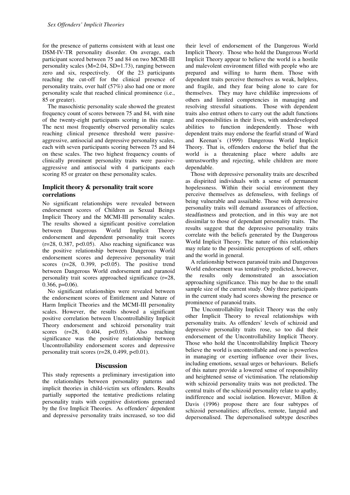for the presence of patterns consistent with at least one DSM-IV-TR personality disorder. On average, each participant scored between 75 and 84 on two MCMI-III personality scales (M=2.04, SD=1.73), ranging between zero and six, respectively. Of the 23 participants reaching the cut-off for the clinical presence of personality traits, over half (57%) also had one or more personality scale that reached clinical prominence (i.e., 85 or greater).

The masochistic personality scale showed the greatest frequency count of scores between 75 and 84, with nine of the twenty-eight participants scoring in this range. The next most frequently observed personality scales reaching clinical presence threshold were passiveaggressive, antisocial and depressive personality scales, each with seven participants scoring between 75 and 84 on these scales. The two highest frequency counts of clinically prominent personality traits were passiveaggressive and antisocial with 4 participants each scoring 85 or greater on these personality scales.

## **Implicit theory & personality trait score correlations**

No significant relationships were revealed between endorsement scores of Children as Sexual Beings Implicit Theory and the MCMI-III personality scales. The results showed a significant positive correlation between Dangerous World Implicit Theory endorsement and dependent personality trait scores  $(r=28, 0.387, p<0.05)$ . Also reaching significance was the positive relationship between Dangerous World endorsement scores and depressive personality trait scores  $(r=28, 0.399, p<0.05)$ . The positive trend between Dangerous World endorsement and paranoid personality trait scores approached significance (r=28,  $0.366$ ,  $p=0.06$ ).

No significant relationships were revealed between the endorsement scores of Entitlement and Nature of Harm Implicit Theories and the MCMI-III personality scales. However, the results showed a significant positive correlation between Uncontrollability Implicit Theory endorsement and schizoid personality trait scores  $(r=28, 0.404, p<0.05)$ . Also reaching significance was the positive relationship between Uncontrollability endorsement scores and depressive personality trait scores ( $r=28$ , 0.499,  $p<0.01$ ).

## **Discussion**

This study represents a preliminary investigation into the relationships between personality patterns and implicit theories in child-victim sex offenders. Results partially supported the tentative predictions relating personality traits with cognitive distortions generated by the five Implicit Theories. As offenders' dependent and depressive personality traits increased, so too did their level of endorsement of the Dangerous World Implicit Theory. Those who hold the Dangerous World Implicit Theory appear to believe the world is a hostile and malevolent environment filled with people who are prepared and willing to harm them. Those with dependent traits perceive themselves as weak, helpless, and fragile, and they fear being alone to care for themselves. They may have childlike impressions of others and limited competencies in managing and resolving stressful situations. Those with dependent traits also entrust others to carry out the adult functions and responsibilities in their lives, with underdeveloped abilities to function independently. Those with dependent traits may endorse the fearful strand of Ward and Keenan's (1999) Dangerous World Implicit Theory. That is, offenders endorse the belief that the world is a threatening place where adults are untrustworthy and rejecting, while children are more dependable.

Those with depressive personality traits are described as dispirited individuals with a sense of permanent hopelessness. Within their social environment they perceive themselves as defenseless, with feelings of being vulnerable and assailable. Those with depressive personality traits will demand assurances of affection, steadfastness and protection, and in this way are not dissimilar to those of dependant personality traits. The results suggest that the depressive personality traits correlate with the beliefs generated by the Dangerous World Implicit Theory. The nature of this relationship may relate to the pessimistic perceptions of self, others and the world in general.

A relationship between paranoid traits and Dangerous World endorsement was tentatively predicted, however, the results only demonstrated an association approaching significance. This may be due to the small sample size of the current study. Only three participants in the current study had scores showing the presence or prominence of paranoid traits.

The Uncontrollability Implicit Theory was the only other Implicit Theory to reveal relationships with personality traits. As offenders' levels of schizoid and depressive personality traits rose, so too did their endorsement of the Uncontrollability Implicit Theory. Those who hold the Uncontrollability Implicit Theory believe the world is uncontrollable and one is powerless in managing or exerting influence over their lives, including emotions, sexual urges or behaviours. Beliefs of this nature provide a lowered sense of responsibility and heightened sense of victimisation. The relationship with schizoid personality traits was not predicted. The central traits of the schizoid personality relate to apathy, indifference and social isolation. However, Millon & Davis (1996) propose there are four subtypes of schizoid personalities; affectless, remote, languid and depersonalised. The depersonalised subtype describes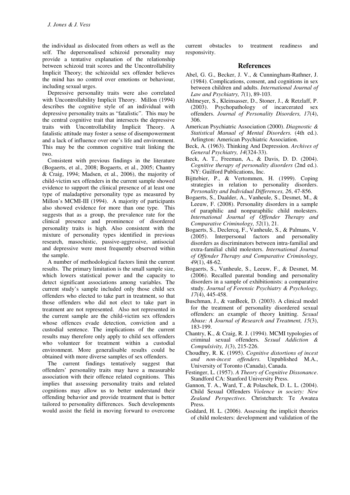the individual as dislocated from others as well as the self. The depersonalised schizoid personality may provide a tentative explanation of the relationship between schizoid trait scores and the Uncontrollability Implicit Theory; the schizoidal sex offender believes the mind has no control over emotions or behaviour, including sexual urges.

Depressive personality traits were also correlated with Uncontrollability Implicit Theory. Millon (1994) describes the cognitive style of an individual with depressive personality traits as "fatalistic". This may be the central cognitive trait that intersects the depressive traits with Uncontrollability Implicit Theory. A fatalistic attitude may foster a sense of disempowerment and a lack of influence over one's life and environment. This may be the common cognitive trait linking the two.

Consistent with previous findings in the literature (Bogaerts, et al., 2008; Bogaerts, et al., 2005; Chantry & Craig, 1994; Madsen, et al., 2006), the majority of child-victim sex offenders in the current sample showed evidence to support the clinical presence of at least one type of maladaptive personality type as measured by Millon's MCMI-III (1994). A majority of participants also showed evidence for more than one type. This suggests that as a group, the prevalence rate for the clinical presence and prominence of disordered personality traits is high. Also consistent with the mixture of personality types identified in previous research, masochistic, passive-aggressive, antisocial and depressive were most frequently observed within the sample.

A number of methodological factors limit the current results. The primary limitation is the small sample size, which lowers statistical power and the capacity to detect significant associations among variables. The current study's sample included only those child sex offenders who elected to take part in treatment, so that those offenders who did not elect to take part in treatment are not represented. Also not represented in the current sample are the child-victim sex offenders whose offences evade detection, conviction and a custodial sentence. The implications of the current results may therefore only apply to child sex offenders who volunteer for treatment within a custodial environment. More generalisable results could be obtained with more diverse samples of sex offenders.

The current findings tentatively suggest that offenders' personality traits may have a measurable association with their offence related cognitions. This implies that assessing personality traits and related cognitions may allow us to better understand their offending behavior and provide treatment that is better tailored to personality differences. Such developments would assist the field in moving forward to overcome

current obstacles to treatment readiness and responsivity.

#### **References**

- Abel, G. G., Becker, J. V., & Cunningham-Rathner, J. (1984). Complications, consent, and cognitions in sex between children and adults. *International Journal of Law and Psychiatry, 7*(1), 89-103.
- Ahlmeyer, S., Kleinsasser, D., Stoner, J., & Retzlaff, P. (2003). Psychopathology of incarcerated sex offenders. *Journal of Personality Disorders, 17*(4), 306.
- American Psychiatric Association (2000). *Diagnostic & Statistical Manual of Mental Disorders.* (4th ed.). Arlington: American Psychiatric Association.
- Beck, A. (1963). Thinking And Depression. *Archives of General Psychiatry, 14*(324-33).
- Beck, A. T., Freeman, A., & Davis, D. D. (2004). *Cognitive therapy of personality disorders* (2nd ed.). NY: Guilford Publications, Inc.
- Bijttebier, P., & Vertommen, H. (1999). Coping strategies in relation to personality disorders. *Personality and Individual Differences, 26*, 47-856.
- Bogaerts, S., Daalder, A., Vanheule, S., Desmet, M., & Leeuw, F. (2008). Personality disorders in a sample of paraphilic and nonparaphilic child molesters. *International Journal of Offender Therapy and Comparative Criminology, 52*(1), 21.
- Bogaerts, S., Declercq, F., Vanheule, S., & Palmans, V. (2005). Interpersonal factors and personality disorders as discriminators between intra-familial and extra-familial child molesters. *International Journal of Offender Therapy and Comparative Criminology, 49*(1), 48-62.
- Bogaerts, S., Vanheule, S., Leeuw, F., & Desmet, M. (2006). Recalled parental bonding and personality disorders in a sample of exhibitionists: a comparative study. *Journal of Forensic Psychiatry & Psychology, 17*(4), 445-458.
- Buschman, J., & vanBeek, D. (2003). A clinical model for the treatment of personality disordered sexual offenders: an example of theory knitting. *Sexual Abuse: A Journal of Research and Treatment, 15*(3), 183-199.
- Chantry, K., & Craig, R. J. (1994). MCMI typologies of criminal sexual offenders. *Sexual Addiction & Compulsivity, 1*(3), 215-226.
- Choudhry, R. K. (1995). *Cognitive distortions of incest and non-incest offenders.* Unpublished M.A., University of Toronto (Canada), Canada.
- Festinger, L. (1957). *A Theory of Cognitive Dissonance*. Standford CA: Stanford University Press.
- Gannon, T. A., Ward, T., & Polaschek, D. L. L. (2004). Child Sexual Offenders *Violence in society: New Zealand Perspectives*. Christchurch: Te Awatea Press.
- Goddard, H. L. (2006). Assessing the implicit theories of child molesters: development and validation of the